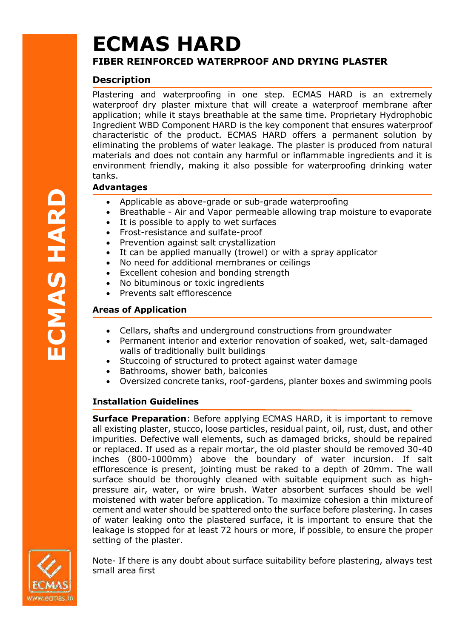# **ECMAS HARD FIBER REINFORCED WATERPROOF AND DRYING PLASTER**

# **Description**

Plastering and waterproofing in one step. ECMAS HARD is an extremely waterproof dry plaster mixture that will create a waterproof membrane after application; while it stays breathable at the same time. Proprietary Hydrophobic Ingredient WBD Component HARD is the key component that ensures waterproof characteristic of the product. ECMAS HARD offers a permanent solution by eliminating the problems of water leakage. The plaster is produced from natural materials and does not contain any harmful or inflammable ingredients and it is environment friendly, making it also possible for waterproofing drinking water tanks.

## **Advantages**

- Applicable as above-grade or sub-grade waterproofing
- Breathable Air and Vapor permeable allowing trap moisture to evaporate
- It is possible to apply to wet surfaces
- Frost-resistance and sulfate-proof
- Prevention against salt crystallization
- It can be applied manually (trowel) or with a spray applicator
- No need for additional membranes or ceilings
- Excellent cohesion and bonding strength
- No bituminous or toxic ingredients
- Prevents salt efflorescence

# **Areas of Application**

- Cellars, shafts and underground constructions from groundwater
- Permanent interior and exterior renovation of soaked, wet, salt-damaged walls of traditionally built buildings
- Stuccoing of structured to protect against water damage
- Bathrooms, shower bath, balconies
- Oversized concrete tanks, roof-gardens, planter boxes and swimming pools

## **Installation Guidelines**

**Surface Preparation**: Before applying ECMAS HARD, it is important to remove all existing plaster, stucco, loose particles, residual paint, oil, rust, dust, and other impurities. Defective wall elements, such as damaged bricks, should be repaired or replaced. If used as a repair mortar, the old plaster should be removed 30-40 inches (800-1000mm) above the boundary of water incursion. If salt efflorescence is present, jointing must be raked to a depth of 20mm. The wall surface should be thoroughly cleaned with suitable equipment such as highpressure air, water, or wire brush. Water absorbent surfaces should be well moistened with water before application. To maximize cohesion a thin mixtureof cement and water should be spattered onto the surface before plastering. In cases of water leaking onto the plastered surface, it is important to ensure that the leakage is stopped for at least 72 hours or more, if possible, to ensure the proper setting of the plaster.



Note- If there is any doubt about surface suitability before plastering, always test small area first